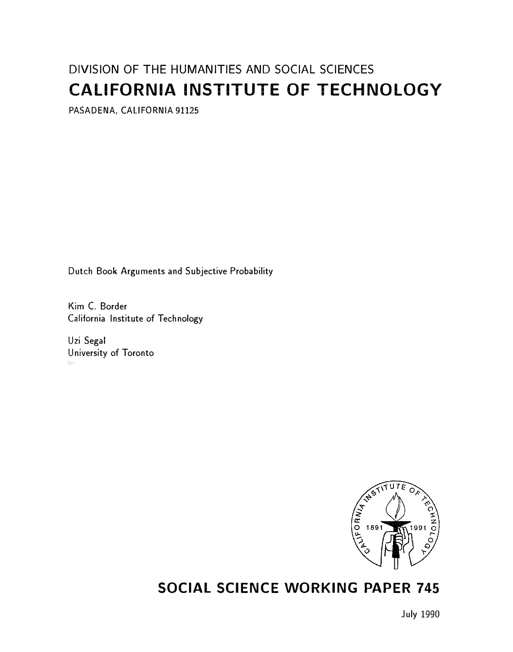# DIVISION OF THE HUMANITIES AND SOCIAL SCIENCES CALIFORNIA INSTITUTE OF TECHNOLOGY

PASADENA, CALIFORNIA 91125

Dutch Book Arguments and Subjective Probability

Kim C. Border California Institute of Technology

Uzi Segal University of Toronto  $\mathcal{U}_{\mathcal{M}}$ 



# SOCIAL SCIENCE WORKING PAPER 745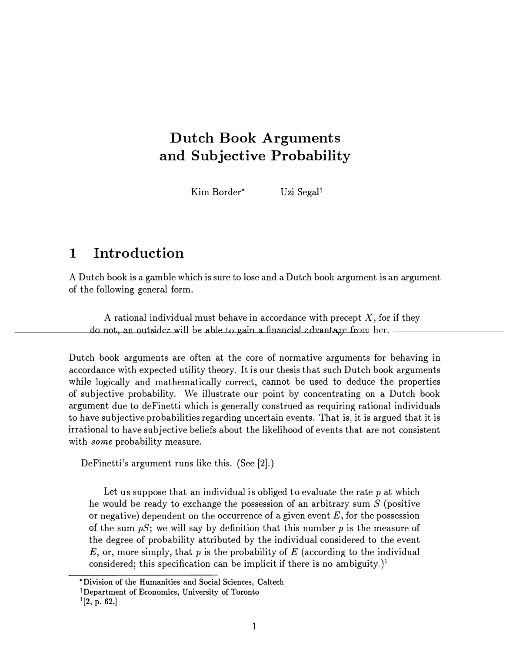# Dutch Book Arguments and Subjective Probability

Kim Border<sup>\*</sup> Uzi Segal<sup>†</sup>

# 1 Introduction

A Dutch book is a gamble which is sure to lose and a Dutch book argument is an argument of the following general form.

A rational individual must behave in accordance with precept  $X$ , for if they do not, an outsider will be able to gain a financial advantage from her.

Dutch book arguments are often at the core of normative arguments for behaving in accordance with expected utility theory. It is our thesis that such Dutch book arguments while logically and mathematically correct, cannot be used to deduce the properties of subjective probability. We illustrate our point by concentrating on a Dutch book argument due to deFinetti which is generally construed as requiring rational individuals to have subjective probabilities regarding uncertain events. That is, it is argued that it is irrational to have subjective beliefs about the likelihood of events that are not consistent with *some* probability measure.

DeFinetti's argument runs like this. (See [2].)

Let us suppose that an individual is obliged to evaluate the rate  $p$  at which he would be ready to exchange the possession of an arbitrary sum  $S$  (positive or negative) dependent on the occurrence of a given event  $E$ , for the possession of the sum  $pS$ ; we will say by definition that this number p is the measure of the degree of probability attributed by the individual considered to the event  $E$ , or, more simply, that p is the probability of E (according to the individual considered; this specification can be implicit if there is no ambiguity.)<sup>1</sup>

<sup>\*</sup>Division of the Humanities and Social Sciences, Caltech

tDepartment of Economics, University of Toronto

 $1[2, p. 62.]$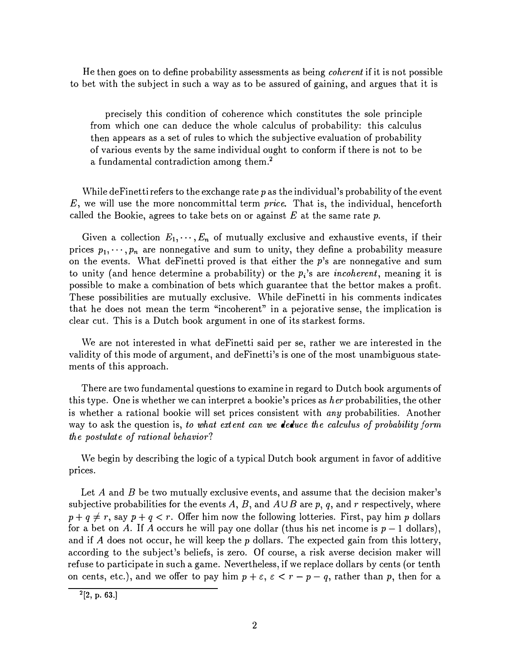He then goes on to define probability assessments as being coherent if it is not possible to bet with the subject in such a way as to be assured of gaining, and argues that it is

precisely this condition of coherence which constitutes the sole principle from which one can deduce the whole calculus of probability: this calculus then appears as a set of rules to which the subjective evaluation of probability of various events by the same individual ought to conform if there is not to be a fundamental contradiction among them.2

While deFinetti refers to the exchange rate  $p$  as the individual's probability of the event  $E$ , we will use the more noncommittal term *price*. That is, the individual, henceforth called the Bookie, agrees to take bets on or against  $E$  at the same rate  $p$ .

Given a collection  $E_1, \dots, E_n$  of mutually exclusive and exhaustive events, if their prices  $p_1, \dots, p_n$  are nonnegative and sum to unity, they define a probability measure on the events. What deFinetti proved is that either the  $p$ 's are nonnegative and sum to unity (and hence determine a probability) or the  $p<sub>i</sub>$ 's are *incoherent*, meaning it is possible to make a combination of bets which guarantee that the bettor makes a profit. These possibilities are mutually exclusive. While deFinetti in his comments indicates that he does not mean the term "incoherent" in a pejorative sense, the implication is clear cut. This is a Dutch book argument in one of its starkest forms.

We are not interested in what deFinetti said per se, rather we are interested in the validity of this mode of argument, and deFinetti's is one of the most unambiguous statements of this approach.

There are two fundamental questions to examine in regard to Dutch book arguments of this type. One is whether we can interpret a bookie's prices as  $her$  probabilities, the other is whether a rational bookie will set prices consistent with any probabilities. Another way to ask the question is, to what extent can we deduce the calculus of probability form the postulate of rational behavior?

We begin by describing the logic of a typical Dutch book argument in favor of additive prices.

Let A and B be two mutually exclusive events, and assume that the decision maker's subjective probabilities for the events A, B, and  $A \cup B$  are p, q, and r respectively, where  $p + q \neq r$ , say  $p + q < r$ . Offer him now the following lotteries. First, pay him p dollars for a bet on A. If A occurs he will pay one dollar (thus his net income is  $p-1$  dollars), and if A does not occur, he will keep the p dollars. The expected gain from this lottery, according to the subject's beliefs, is zero. Of course, a risk averse decision maker will refuse to participate in such a game. Nevertheless, if we replace dollars by cents (or tenth on cents, etc.), and we offer to pay him  $p + \varepsilon$ ,  $\varepsilon < r - p - q$ , rather than p, then for a

 $^{2}[2, p. 63.]$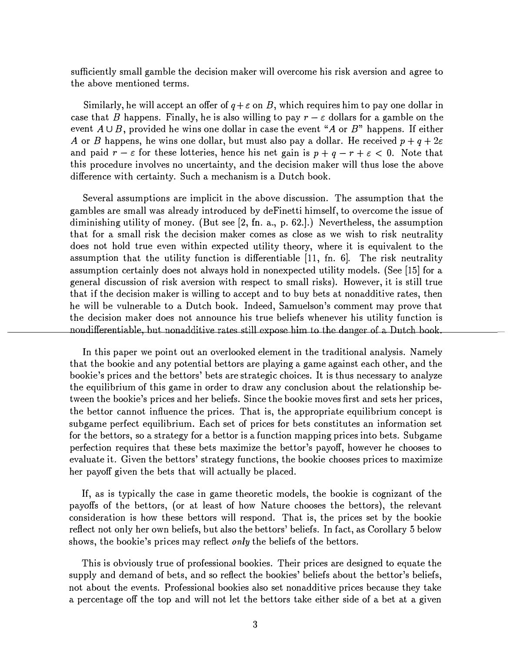sufficiently small gamble the decision maker will overcome his risk aversion and agree to the above mentioned terms.

Similarly, he will accept an offer of  $q + \varepsilon$  on B, which requires him to pay one dollar in case that B happens. Finally, he is also willing to pay  $r - \varepsilon$  dollars for a gamble on the event  $A \cup B$ , provided he wins one dollar in case the event "A or  $B$ " happens. If either A or B happens, he wins one dollar, but must also pay a dollar. He received  $p + q + 2\varepsilon$ and paid  $r-\varepsilon$  for these lotteries, hence his net gain is  $p+q-r+\varepsilon < 0$ . Note that this procedure involves no uncertainty, and the decision maker will thus lose the above difference with certainty. Such a mechanism is a Dutch book.

Several assumptions are implicit in the above discussion. The assumption that the gambles are small was already introduced by deFinetti himself, to overcome the issue of diminishing utility of money. (But see [2, fn. a., p. 62.].) Nevertheless, the assumption that for a small risk the decision maker comes as close as we wish to risk neutrality does not hold true even within expected utility theory, where it is equivalent to the assumption that the utility function is differentiable [11, fn. 6]. The risk neutrality assumption certainly does not always hold in nonexpected utility models. (See [15] for a general discussion of risk aversion with respect to small risks). However, it is still true that if the decision maker is willing to accept and to buy bets at nonadditive rates, then he will be vulnerable to a Dutch book. Indeed, Samuelson's comment may prove that the decision maker does not announce his true beliefs whenever his utility function is nondifferentiable, but nonadditive rates still expose-him to the danger of a Dutch book.

In this paper we point out an overlooked element in the traditional analysis. Namely that the bookie and any potential bettors are playing a game against each other, and the bookie's prices and the bettors' bets are strategic choices. It is thus necessary to analyze the equilibrium of this game in order to draw any conclusion about the relationship between the bookie's prices and her beliefs. Since the bookie moves first and sets her prices, the bettor cannot influence the prices. That is, the appropriate equilibrium concept is subgame perfect equilibrium. Each set of prices for bets constitutes an information set for the bettors, so a strategy for a bettor is a function mapping prices into bets. Subgame perfection requires that these bets maximize the bettor's payoff, however he chooses to evaluate it. Given the bettors' strategy functions, the bookie chooses prices to maximize her payoff given the bets that will actually be placed.

If, as is typically the case in game theoretic models, the bookie is cognizant of the payoffs of the bettors, (or at least of how Nature chooses the bettors), the relevant consideration is how these bettors will respond. That is, the prices set by the bookie reflect not only her own beliefs, but also the bettors' beliefs. In fact, as Corollary 5 below shows, the bookie's prices may reflect *only* the beliefs of the bettors.

This is obviously true of professional bookies. Their prices are designed to equate the supply and demand of bets, and so reflect the bookies' beliefs about the bettor's beliefs, not about the events. Professional bookies also set nonadditive prices because they take a percentage off the top and will not let the bettors take either side of a bet at a given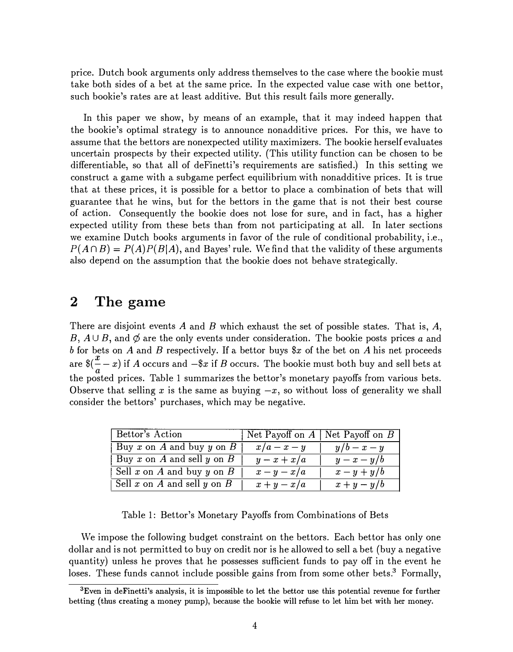price. Dutch book arguments only address themselves to the case where the bookie must take both sides of a bet at the same price. In the expected value case with one bettor, such bookie's rates are at least additive. But this result fails more generally.

In this paper we show, by means of an example, that it may indeed happen that the bookie's optimal strategy is to announce nonadditive prices. For this, we have to assume that the bettors are nonexpected utility maximizers. The bookie herself evaluates uncertain prospects by their expected utility. (This utility function can be chosen to be differentiable, so that all of deFinetti's requirements are satisfied.) In this setting we construct a game with a subgame perfect equilibrium with nonadditive prices. It is true that at these prices, it is possible for a bettor to place a combination of bets that will guarantee that he wins, but for the bettors in the game that is not their best course of action. Consequently the bookie does not lose for sure, and in fact, has a higher expected utility from these bets than from not participating at all. In later sections we examine Dutch books arguments in favor of the rule of conditional probability, i.e.,  $P(A \cap B) = P(A)P(B|A)$ , and Bayes' rule. We find that the validity of these arguments also depend on the assumption that the bookie does not behave strategically.

## 2 The game

There are disjoint events A and B which exhaust the set of possible states. That is,  $A$ , B,  $A \cup B$ , and  $\emptyset$  are the only events under consideration. The bookie posts prices a and b for bets on A and B respectively. If a bettor buys  $x$  of the bet on A his net proceeds are  $\frac{x}{a}$  ( $\frac{x}{a}$  – x) if A occurs and  $-\frac{x}{x}$  if B occurs. The bookie must both buy and sell bets at the posted prices. Table 1 summarizes the bettor's monetary payoffs from various bets. Observe that selling x is the same as buying  $-x$ , so without loss of generality we shall consider the bettors' purchases, which may be negative.

| Bettor's Action                   | Net Payoff on $A \mid$ Net Payoff on $B$ |           |
|-----------------------------------|------------------------------------------|-----------|
| $\vert$ Buy x on A and buy y on B | $x/a-x-y$                                | $y/b-x-y$ |
| Buy x on A and sell y on B        | $y-x+x/a$                                | $y-x-y/b$ |
| Sell x on A and buy y on B        | $x-y-x/a$                                | $x-y+y/b$ |
| Sell x on A and sell y on B       | $x+y-x/a$                                | $x+y-y/b$ |

Table 1: Bettor's Monetary Payoffs from Combinations of Bets

We impose the following budget constraint on the bettors. Each bettor has only one dollar and is not permitted to buy on credit nor is he allowed to sell a bet (buy a negative quantity) unless he proves that he possesses sufficient funds to pay off in the event he loses. These funds cannot include possible gains from from some other bets.<sup>3</sup> Formally,

<sup>&</sup>lt;sup>3</sup>Even in deFinetti's analysis, it is impossible to let the bettor use this potential revenue for further betting (thus creating a money pump), because the bookie will refuse to let him bet with her money.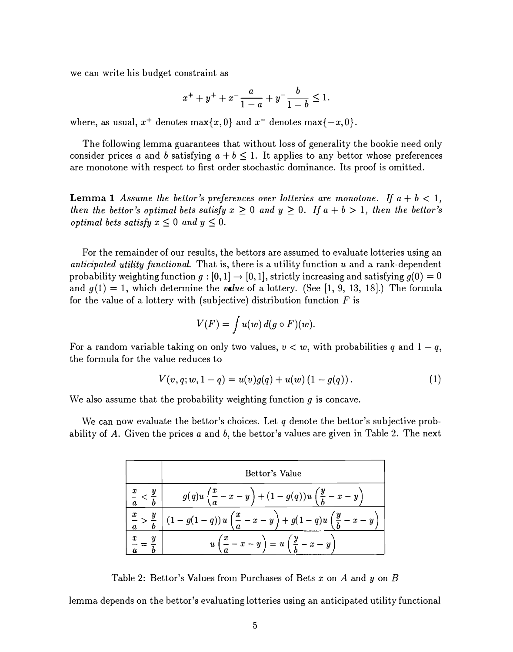we can write his budget constraint as

$$
x^{+} + y^{+} + x^{-} \frac{a}{1-a} + y^{-} \frac{b}{1-b} \le 1.
$$

where, as usual,  $x^+$  denotes max $\{x, 0\}$  and  $x^-$  denotes max $\{-x, 0\}$ .

The following lemma guarantees that without loss of generality the bookie need only consider prices a and b satisfying  $a + b \leq 1$ . It applies to any bettor whose preferences are monotone with respect to first order stochastic dominance. Its proof is omitted.

**Lemma 1** Assume the bettor's preferences over lotteries are monotone. If  $a + b < 1$ , then the bettor's optimal bets satisfy  $x \geq 0$  and  $y \geq 0$ . If  $a + b > 1$ , then the bettor's *optimal bets satisfy*  $x \leq 0$  *and*  $y \leq 0$ .

For the remainder of our results, the bettors are assumed to evaluate lotteries using an anticipated utility functional. That is, there is a utility function  $u$  and a rank-dependent probability weighting function  $g : [0, 1] \rightarrow [0, 1]$ , strictly increasing and satisfying  $g(0) = 0$ and  $g(1) = 1$ , which determine the *value* of a lottery. (See [1, 9, 13, 18].) The formula for the value of a lottery with (subjective) distribution function  $F$  is

$$
V(F) = \int u(w) d(g \circ F)(w).
$$

For a random variable taking on only two values,  $v < w$ , with probabilities q and  $1 - q$ , the formula for the value reduces to

$$
V(v, q; w, 1 - q) = u(v)g(q) + u(w) (1 - g(q)).
$$
\n(1)

We also assume that the probability weighting function  $g$  is concave.

We can now evaluate the bettor's choices. Let q denote the bettor's subjective probability of A. Given the prices  $a$  and  $b$ , the bettor's values are given in Table 2. The next

|           | Bettor's Value                                                              |
|-----------|-----------------------------------------------------------------------------|
|           | $g(q)u\left(\frac{x}{a}-x-y\right)+(1-g(q))u\left(\frac{y}{b}-x-y\right)$   |
| $\pmb{x}$ | $-g(1-q))u\left(\frac{x}{q}-x-y\right)+g(1-q)u\left(\frac{y}{q}-x-y\right)$ |
|           | $u\left(\frac{x}{a}-x-y\right)=u\left(\frac{y}{b}-x-y\right)$               |

Table 2: Bettor's Values from Purchases of Bets x on A and y on B

lemma depends on the bettor's evaluating lotteries using an anticipated utility functional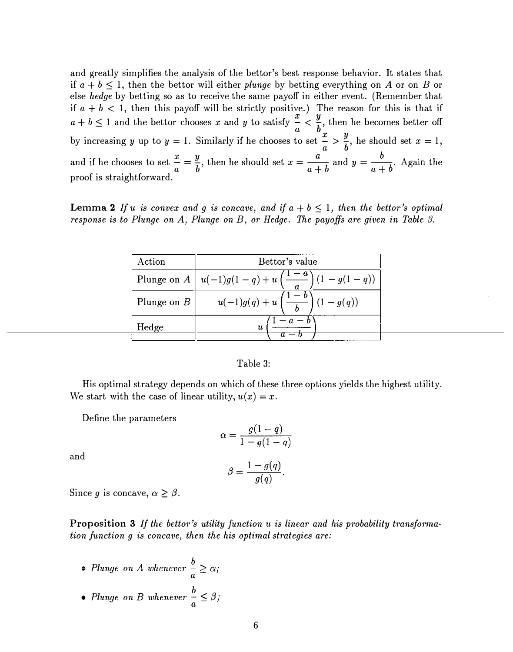and greatly simplifies the analysis of the bettor's best response behavior. It states that if  $a + b \leq 1$ , then the bettor will either plunge by betting everything on A or on B or else hedge by betting so as to receive the same payoff in either event. (Remember that if  $a + b < 1$ , then this payoff will be strictly positive.) The reason for this is that if  $a+b \leq 1$  and the bettor chooses x and y to satisfy  $\frac{x}{a} < \frac{y}{b}$ , then he becomes better off by increasing y up to  $y = 1$ . Similarly if he chooses to set  $\frac{x}{a} > \frac{y}{b}$ , he should set  $x = 1$ , and if he chooses to set  $\frac{x}{a} = \frac{y}{b}$ , then he should set  $x = \frac{a}{a+b}$  and  $y = \frac{b}{a+b}$ . Again the proof is straightforward.

**Lemma 2** If u is convex and g is concave, and if  $a + b \leq 1$ , then the bettor's optimal response is to Plunge on A, Plunge on B, or Hedge. The payoffs are given in Table 3.

| Action        | Bettor's value                                                                      |  |  |
|---------------|-------------------------------------------------------------------------------------|--|--|
|               | Plunge on $A \left[ u(-1)g(1-q) + u\left( \frac{1-a}{q} \right) (1-g(1-q)) \right]$ |  |  |
| Plunge on $B$ | $u(-1)g(q) + u\left(\frac{1-b}{b}\right)(1-g(q))$                                   |  |  |
| Hedge         | u                                                                                   |  |  |

#### Table 3:

His optimal strategy depends on which of these three options yields the highest utility. We start with the case of linear utility,  $u(x) = x$ .

Define the parameters

$$
\alpha = \frac{g(1-q)}{1 - g(1-q)}
$$

$$
\beta = \frac{1 - g(q)}{g(q)}.
$$

and

Since g is concave,  $\alpha \geq \beta$ .

Proposition 3 If the bettor's utility function u is linear and his probability transformation function g is concave, then the his optimal strategies are:

- Plunge on  $\Lambda$  whenever  $\frac{b}{a} \geq \alpha$ ;
- Plunge on B whenever  $\frac{b}{a} \leq \beta$ ;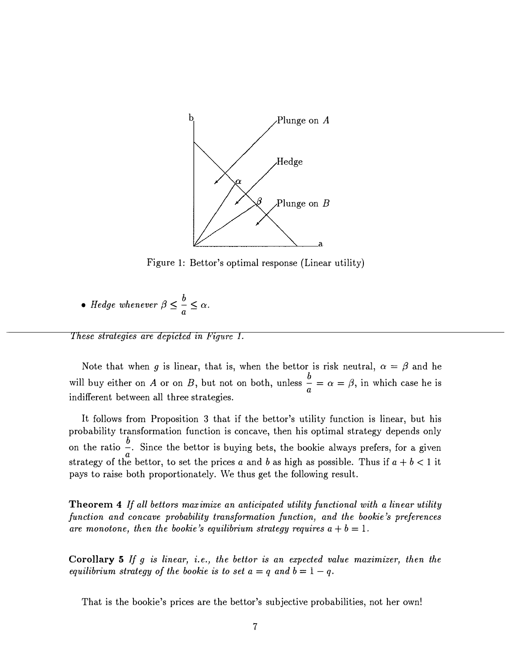

Figure 1: Bettor's optimal response (Linear utility)

• *Hedge whenever* 
$$
\beta \leq \frac{b}{a} \leq \alpha
$$
.

These strategies are depicted in Figure 1.

Note that when g is linear, that is, when the bettor is risk neutral,  $\alpha = \beta$  and he will buy either on A or on B, but not on both, unless  $\frac{0}{a} = \alpha = \beta$ , in which case he is indifferent between all three strategies.

It follows from Proposition 3 that if the bettor's utility function is linear, but his probability transformation function is concave, then his optimal strategy depends only on the ratio  $\frac{b}{a}$ . Since the bettor is buying bets, the bookie always prefers, for a given strategy of the bettor, to set the prices a and b as high as possible. Thus if  $a + b < 1$  it pays to raise both proportionately. We thus get the following result.

Theorem 4 If all bettors maximize an anticipated utility functional with a linear utility function and concave probability transformation function, and the bookie's preferences are monotone, then the bookie's equilibrium strategy requires  $a + b = 1$ .

Corollary 5 If g is linear, i.e., the bettor is an expected value maximizer, then the equilibrium strategy of the bookie is to set  $a = q$  and  $b = 1 - q$ .

That is the bookie's prices are the bettor's subjective probabilities, not her own!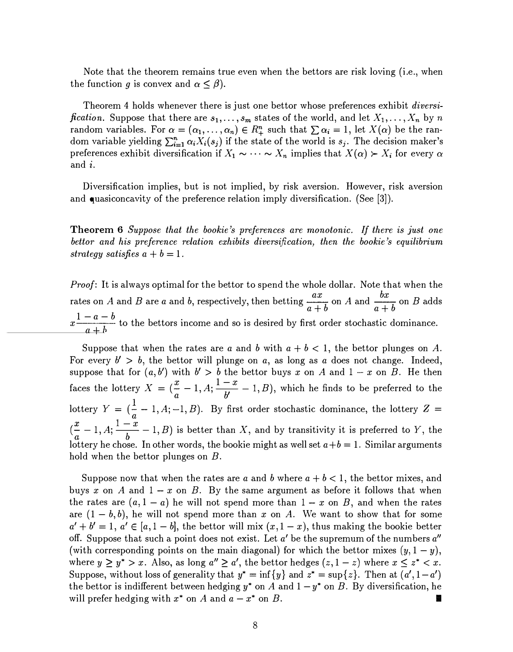Note that the theorem remains true even when the bettors are risk loving (i.e., when the function g is convex and  $\alpha \leq \beta$ ).

Theorem 4 holds whenever there is just one bettor whose preferences exhibit *diversification.* Suppose that there are  $s_1, \ldots, s_m$  states of the world, and let  $X_1, \ldots, X_n$  by n random variables. For  $\alpha = (\alpha_1, \ldots, \alpha_n) \in R_+^n$  such that  $\sum \alpha_i = 1$ , let  $X(\alpha)$  be the random variable yielding  $\sum_{i=1}^{n} \alpha_i X_i(s_j)$  if the state of the world is  $s_j$ . The decision maker's preferences exhibit diversification if  $X_1 \sim \cdots \sim X_n$  implies that  $X(\alpha) \succ X_i$  for every  $\alpha$ and i.

Diversification implies, but is not implied, by risk aversion. However, risk aversion and quasiconcavity of the preference relation imply diversification. (See [3]).

Theorem 6 Suppose that the bookie's preferences are monotonic. If there is just one bettor and his preference relation exhibits diversification, then the bookie's equilibrium strategy satisfies  $a + b = 1$ .

Proof: It is always optimal for the bettor to spend the whole dollar. Note that when the rates on A and B are a and b, respectively, then betting  $\frac{ax}{a+b}$  on A and  $\frac{bx}{a+b}$  on B adds  $x\frac{1-a-b}{1}$  to the bettors income and so is desired by first order stochastic dominance.

Suppose that when the rates are a and b with  $a + b < 1$ , the bettor plunges on A. For every  $b' > b$ , the bettor will plunge on a, as long as a does not change. Indeed, suppose that for  $(a, b')$  with  $b' > b$  the bettor buys x on A and  $1 - x$  on B. He then faces the lottery  $X = (\frac{x}{a} - 1, A; \frac{1-x}{b'} - 1, B)$ , which he finds to be preferred to the lottery  $Y = \begin{pmatrix} 1 & -1 \\ a & -1 \end{pmatrix}$ ,  $A; -1, B$ . By first order stochastic dominance, the lottery  $Z =$  $(\frac{x}{a}-1, A; \frac{1-x}{b}-1, B)$  is better than X, and by transitivity it is preferred to Y, the lottery he chose. In other words, the bookie might as well set  $a+b=1$ . Similar arguments hold when the bettor plunges on B.

Suppose now that when the rates are a and b where  $a + b < 1$ , the bettor mixes, and buys x on A and  $1-x$  on B. By the same argument as before it follows that when the rates are  $(a, 1 - a)$  he will not spend more than  $1 - x$  on B, and when the rates are  $(1 - b, b)$ , he will not spend more than x on A. We want to show that for some  $a' + b' = 1$ ,  $a' \in [a, 1 - b]$ , the bettor will mix  $(x, 1 - x)$ , thus making the bookie better off. Suppose that such a point does not exist. Let  $a'$  be the supremum of the numbers  $a''$ (with corresponding points on the main diagonal) for which the bettor mixes  $(y, 1 - y)$ , where  $y \geq y^* > x$ . Also, as long  $a'' \geq a'$ , the bettor hedges  $(z, 1 - z)$  where  $x \leq z^* < x$ . Suppose, without loss of generality that  $y^* = \inf \{y\}$  and  $z^* = \sup \{z\}$ . Then at  $(a', 1 - a')$ the bettor is indifferent between hedging  $y^*$  on A and  $1 - y^*$  on B. By diversification, he will prefer hedging with  $x^*$  on A and  $a - x^*$  on B.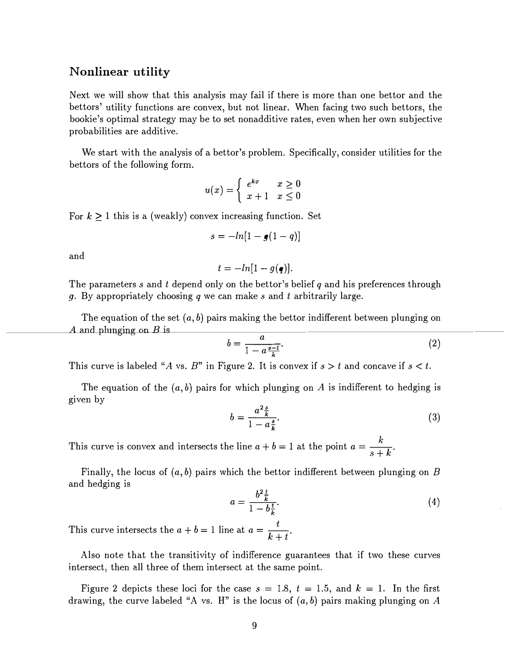#### Nonlinear utility

Next we will show that this analysis may fail if there is more than one bettor and the bettors' utility functions are convex, but not linear. When facing two such bettors, the bookie's optimal strategy may be to set nonadditive rates, even when her own subjective probabilities are additive.

We start with the analysis of a bettor's problem. Specifically, consider utilities for the bettors of the following form.

$$
u(x) = \begin{cases} e^{kx} & x \ge 0\\ x+1 & x \le 0 \end{cases}
$$

For  $k \geq 1$  this is a (weakly) convex increasing function. Set

$$
s=-ln[1-g(1-q)]
$$

and

$$
t=-ln[1-g(\mathbf{q})].
$$

The parameters s and t depend only on the bettor's belief q and his preferences through g. By appropriately choosing q we can make s and t arbitrarily large.

The equation of the set  $(a, b)$  pairs making the bettor indifferent between plunging on A and plunging on B is

$$
b = \frac{a}{1 - a\frac{s - t}{k}}.\tag{2}
$$

This curve is labeled "A vs. B" in Figure 2. It is convex if  $s > t$  and concave if  $s < t$ .

The equation of the  $(a, b)$  pairs for which plunging on A is indifferent to hedging is given by

$$
b = \frac{a^2 \frac{s}{k}}{1 - a \frac{s}{k}}.\tag{3}
$$

This curve is convex and intersects the line  $a + b = 1$  at the point  $a = \frac{k}{b}$  $s+k$ 

Finally, the locus of  $(a, b)$  pairs which the bettor indifferent between plunging on B and hedging is

$$
a = \frac{b^2 \frac{t}{k}}{1 - b \frac{t}{k}}.\tag{4}
$$

This curve intersects the  $a + b = 1$  line at  $a = \frac{t}{k+t}$ .

Also note that the transitivity of indifference guarantees that if two these curves intersect; then all three of them intersect at the same point.

Figure 2 depicts these loci for the case  $s = 1.8$ ,  $t = 1.5$ , and  $k = 1$ . In the first drawing, the curve labeled "A vs. H" is the locus of  $(a, b)$  pairs making plunging on A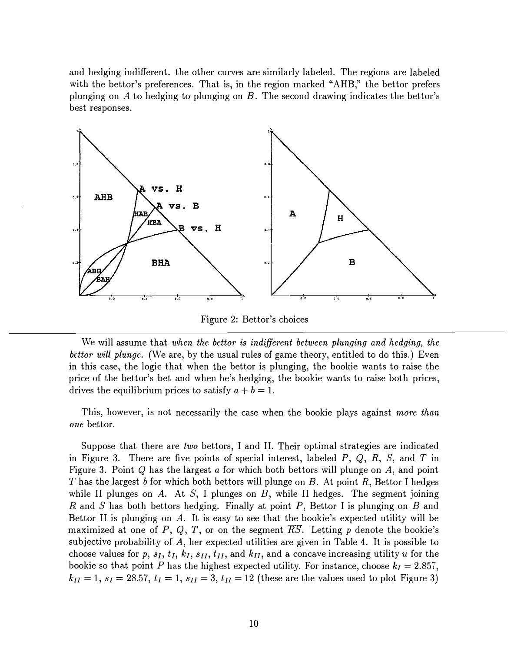and hedging indifferent. the other curves are similarly labeled. The regions are labeled with the bettor's preferences. That is, in the region marked "AHB," the bettor prefers plunging on A to hedging to plunging on  $B$ . The second drawing indicates the bettor's best responses.



Figure 2: Bettor's choices

We will assume that when the bettor is indifferent between plunging and hedging, the bettor will plunge. (We are, by the usual rules of game theory, entitled to do this.) Even in this case, the logic that when the bettor is plunging, the bookie wants to raise the price of the bettor's bet and when he's hedging, the bookie wants to raise both prices, drives the equilibrium prices to satisfy  $a + b = 1$ .

This, however, is not necessarily the case when the bookie plays against more than one bettor.

Suppose that there are two bettors, I and II. Their optimal strategies are indicated in Figure 3. There are five points of special interest, labeled  $P$ ,  $Q$ ,  $R$ ,  $S$ , and  $T$  in Figure 3. Point  $Q$  has the largest a for which both bettors will plunge on  $A$ , and point T has the largest b for which both bettors will plunge on B. At point R, Bettor I hedges while II plunges on A. At S, I plunges on B, while II hedges. The segment joining R and S has both bettors hedging. Finally at point P, Bettor I is plunging on B and Bettor II is plunging on  $A$ . It is easy to see that the bookie's expected utility will be maximized at one of P, Q, T, or on the segment  $\overline{RS}$ . Letting p denote the bookie's subjective probability of A, her expected utilities are given in Table 4. It is possible to choose values for p,  $s_I$ ,  $t_I$ ,  $k_I$ ,  $s_{II}$ ,  $t_{II}$ , and  $k_{II}$ , and a concave increasing utility u for the bookie so that point P has the highest expected utility. For instance, choose  $k_I = 2.857$ ,  $k_{II} = 1, s_I = 28.57, t_I = 1, s_{II} = 3, t_{II} = 12$  (these are the values used to plot Figure 3)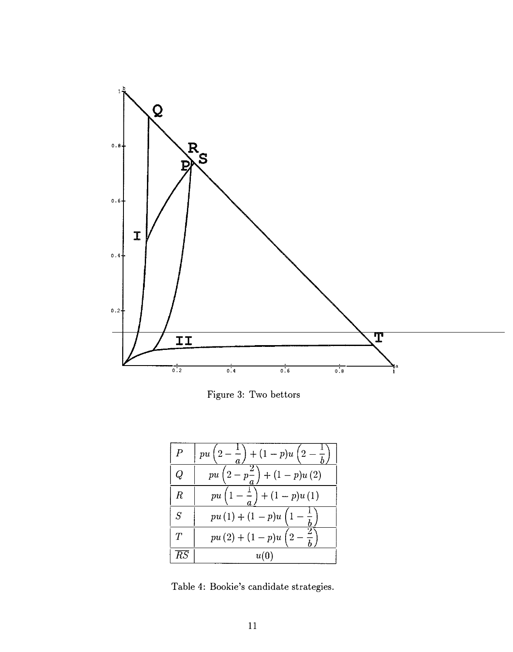

Figure 3: Two bettors

| Р  | $pu\left(2-\frac{1}{a}\right)+(1-p)u\left(2\right)$ |
|----|-----------------------------------------------------|
| Ų  | $-p^2$<br>$+ (1-p)u(2)$<br>$p\overline{u}$          |
| R  | $\left(1-p\right)u(1)$<br>$p\overline{u}$           |
| S  | $pu(1) + (1-p)u(1)$                                 |
|    | $pu(2) + (1-p)u(2)$                                 |
| КS | u(0)                                                |

Table 4: Bookie's candidate strategies.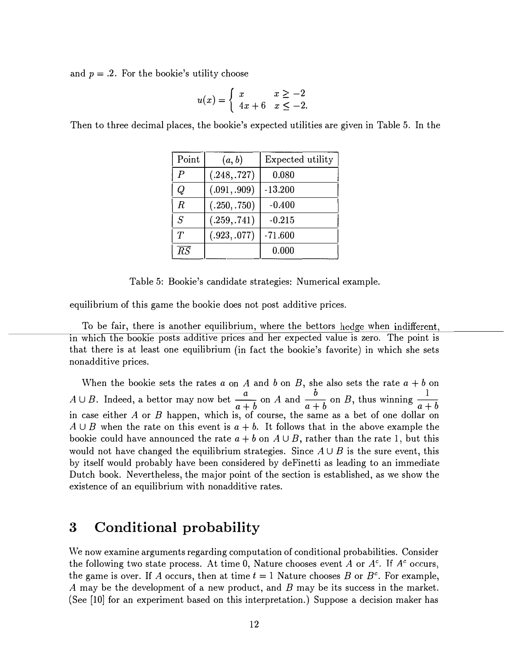and  $p = .2$ . For the bookie's utility choose

$$
u(x) = \begin{cases} x & x \ge -2 \\ 4x + 6 & x \le -2. \end{cases}
$$

Then to three decimal places, the bookie's expected utilities are given in Table 5. In the

| Point           | (a, b)       | Expected utility |
|-----------------|--------------|------------------|
| $\overline{P}$  | (.248, .727) | 0.080            |
| Q               | (.091, .909) | $-13.200$        |
| $\,$            | (.250, .750) | $-0.400$         |
| $\overline{S}$  | (.259, .741) | $-0.215$         |
| $\tau$          | (.923, .077) | $-71.600$        |
| $\overline{RS}$ |              | 0.000            |

Table 5: Bookie's candidate strategies: Numerical example.

equilibrium of this game the bookie does not post additive prices.

To be fair, there is another equilibrium, where the bettors hedge when indifferent, in which the bookie posts additive prices and her expected value is zero. The point is that there is at least one equilibrium (in fact the bookie's favorite) in which she sets nonadditive prices.

When the bookie sets the rates  $a$  on  $A$  and  $b$  on  $B$ , she also sets the rate  $a + b$  on  $A \cup B$ . Indeed, a bettor may now bet  $\frac{a}{a+b}$  on A and  $\frac{b}{a+b}$  on B, thus winning  $\frac{1}{a+b}$ .  $a + b$ in case either  $A$  or  $B$  happen, which is, of course, the same as a bet of one dollar on  $A \cup B$  when the rate on this event is  $a + b$ . It follows that in the above example the bookie could have announced the rate  $a + b$  on  $A \cup B$ , rather than the rate 1, but this would not have changed the equilibrium strategies. Since  $A \cup B$  is the sure event, this by itself would probably have been considered by deFinetti as leading to an immediate Dutch book. Nevertheless, the major point of the section is established, as we show the existence of an equilibrium with nonadditive rates.

# 3 Conditional probability

We now examine arguments regarding computation of conditional probabilities. Consider the following two state process. At time 0, Nature chooses event A or  $A<sup>c</sup>$ . If  $A<sup>c</sup>$  occurs, the game is over. If A occurs, then at time  $t = 1$  Nature chooses B or  $B<sup>c</sup>$ . For example, A may be the development of a new product, and B may be its success in the market. (See [10] for an experiment based on this interpretation.) Suppose a decision maker has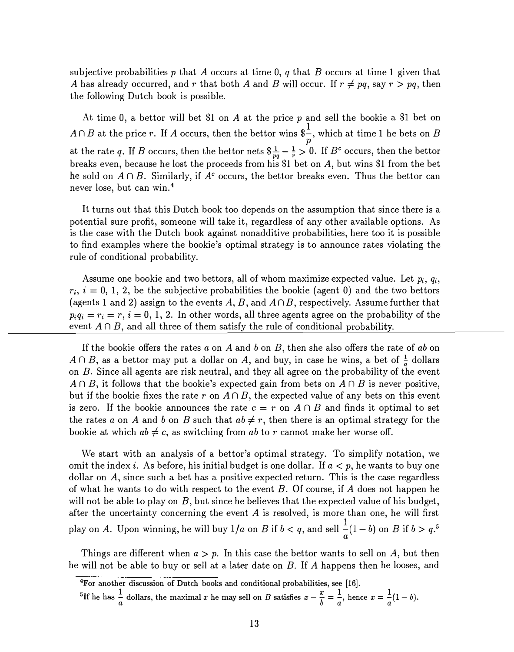subjective probabilities p that A occurs at time 0, q that B occurs at time 1 given that A has already occurred, and r that both A and B will occur. If  $r \neq pq$ , say  $r > pq$ , then the following Dutch book is possible.

At time 0, a bettor will bet \$1 on  $A$  at the price  $p$  and sell the bookie a \$1 bet on 1  $A \cap B$  at the price r. If A occurs, then the bettor wins  $\frac{a}{p}$ , which at time 1 he bets on B at the rate q. If  $B$  occurs, then the bettor nets  $\frac{1}{pq} - \frac{1}{r} > 0$ . If  $B^c$  occurs, then the bettor breaks even, because he lost the proceeds from his \$1 bet on A, but wins \$1 from the bet he sold on  $A \cap B$ . Similarly, if  $A^c$  occurs, the bettor breaks even. Thus the bettor can never lose, but can win. <sup>4</sup>

It turns out that this Dutch book too depends on the assumption that since there is a potential sure profit, someone will take it, regardless of any other available options. As is the case with the Dutch book against nonadditive probabilities, here too it is possible to find examples where the bookie's optimal strategy is to announce rates violating the rule of conditional probability.

Assume one bookie and two bettors, all of whom maximize expected value. Let  $p_i, q_i$ ,  $r_i$ ,  $i = 0, 1, 2$ , be the subjective probabilities the bookie (agent 0) and the two bettors (agents 1 and 2) assign to the events A, B, and  $A \cap B$ , respectively. Assume further that  $p_i q_i = r_i = r, i = 0, 1, 2$ . In other words, all three agents agree on the probability of the event  $A \cap B$ , and all three of them satisfy the rule of conditional probability.

If the bookie offers the rates a on A and b on B, then she also offers the rate of ab on  $A \cap B$ , as a bettor may put a dollar on A, and buy, in case he wins, a bet of  $\frac{1}{a}$  dollars on B. Since all agents are risk neutral, and they all agree on the probability of the event  $A \cap B$ , it follows that the bookie's expected gain from bets on  $A \cap B$  is never positive, but if the bookie fixes the rate r on  $A \cap B$ , the expected value of any bets on this event is zero. If the bookie announces the rate  $c = r$  on  $A \cap B$  and finds it optimal to set the rates a on A and b on B such that  $ab \neq r$ , then there is an optimal strategy for the bookie at which  $ab \neq c$ , as switching from ab to r cannot make her worse off.

We start with an analysis of a bettor's optimal strategy. To simplify notation, we omit the index i. As before, his initial budget is one dollar. If  $a < p$ , he wants to buy one dollar on  $A$ , since such a bet has a positive expected return. This is the case regardless of what he wants to do with respect to the event  $B$ . Of course, if  $A$  does not happen he will not be able to play on  $B$ , but since he believes that the expected value of his budget, after the uncertainty concerning the event  $A$  is resolved, is more than one, he will first play on A. Upon winning, he will buy  $1/a$  on B if  $b < q$ , and sell  $\frac{1}{q}(1-b)$  on B if  $b > q$ .<sup>5</sup>  $a^{\prime}$ 

Things are different when  $a > p$ . In this case the bettor wants to sell on A, but then he will not be able to buy or sell at a later date on  $B$ . If A happens then he looses, and

<sup>4</sup>For another discussion of Dutch books and conditional probabilities, see (16].

<sup>&</sup>lt;sup>5</sup>If he has  $\frac{1}{a}$  dollars, the maximal x he may sell on B satisfies  $x - \frac{x}{b} = \frac{1}{a}$ , hence  $x = \frac{1}{a}(1-b)$ .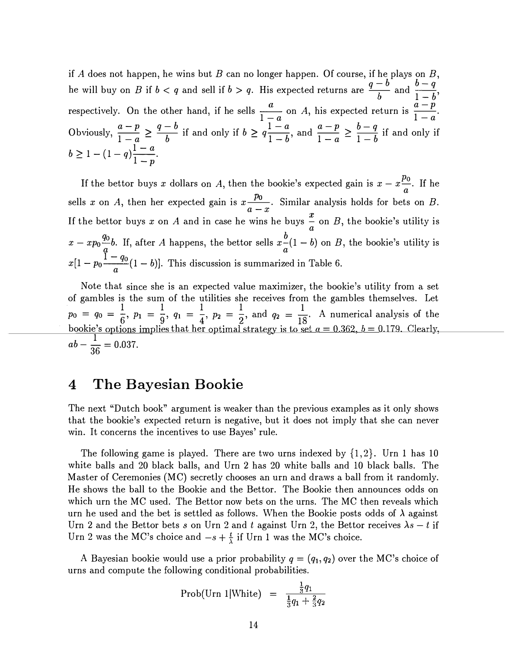if A does not happen, he wins but B can no longer happen. Of course, if he plays on  $B$ , the will buy on B if  $b < q$  and sell if  $b > q$ . His expected returns are  $\frac{q-b}{b}$  and  $\frac{b-q}{1-b}$ . respectively. On the other hand, if he sells  $\frac{a}{1}$  on A, his expected return is  $\frac{a-p}{1}$ .  $\frac{1-a}{1-a}$  on A, ins expected return is  $\frac{1-a}{1-a}$ . Obviously,  $\frac{a-p}{1-a} \ge \frac{q-b}{b}$  if and only if  $b \ge q\frac{1-a}{1-b}$ , and  $\frac{a-p}{1-a} \ge \frac{b-q}{1-b}$  if and only if  $b \ge 1 - (1 - q) \frac{1 - a}{1 - p}.$ 

If the bettor buys x dollars on A, then the bookie's expected gain is  $x - x \frac{p_0}{a}$ . If he a sells x on A, then her expected gain is  $x \frac{p_0}{a-x}$ . Similar analysis holds for bets on B. If the bettor buys x on A and in case he wins he buys  $\frac{1}{a}$  on B, the bookie's utility is  $x-xp_0\frac{q_0}{q}b$ . If, after A happens, the bettor sells  $x\frac{b}{a}(1-b)$  on B, the bookie's utility is  $x[1-p_0\frac{1-q_0}{a}(1-b)]$ . This discussion is summarized in Table 6.

Note that since she is an expected value maximizer, the bookie's utility from a set of gambles is the sum of the utilities she receives from the gambles themselves. Let  $p_0 = q_0 = \frac{1}{6}$ ,  $p_1 = \frac{1}{9}$ ,  $q_1 = \frac{1}{4}$ ,  $p_2 = \frac{1}{2}$ , and  $q_2 = \frac{1}{18}$ . A numerical analysis of the bookie's options implies that her optimal strategy is to set  $a = 0.362, b = 0.179$ . Clearly,  $ab - \frac{1}{36} = 0.037.$ 

# 4 The Bayesian Bookie

The next "Dutch book" argument is weaker than the previous examples as it only shows that the bookie's expected return is negative, but it does not imply that she can never win. It concerns the incentives to use Bayes' rule.

The following game is played. There are two urns indexed by  $\{1,2\}$ . Urn 1 has 10 white balls and 20 black balls, and Urn 2 has 20 white balls and 10 black balls. The Master of Ceremonies (MC) secretly chooses an urn and draws a ball from it randomly. He shows the ball to the Bookie and the Bettor. The Bookie then announces odds on which urn the MC used. The Bettor now bets on the urns. The MC then reveals which urn he used and the bet is settled as follows. When the Bookie posts odds of  $\lambda$  against Urn 2 and the Bettor bets s on Urn 2 and t against Urn 2, the Bettor receives  $\lambda s - t$  if Urn 2 was the MC's choice and  $-s + \frac{t}{\lambda}$  if Urn 1 was the MC's choice.

A Bayesian bookie would use a prior probability  $q = (q_1, q_2)$  over the MC's choice of urns and compute the following conditional probabilities.

$$
Prob(Un \; 1|White) = \frac{\frac{1}{3}q_1}{\frac{1}{3}q_1 + \frac{2}{3}q_2}
$$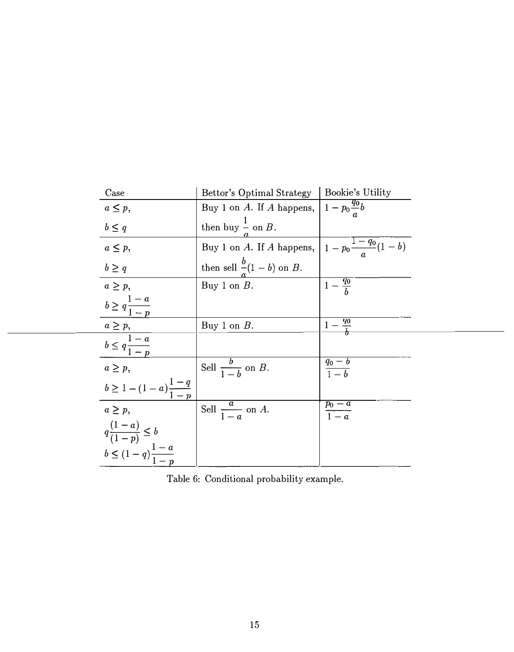| Case                                                           | Bettor's Optimal Strategy   Bookie's Utility                  |                     |
|----------------------------------------------------------------|---------------------------------------------------------------|---------------------|
| $a \leq p$ ,                                                   | Buy 1 on A. If A happens, $1 - p_0 \frac{q_0}{q} b$           |                     |
| $b \leq q$                                                     | then buy $\frac{1}{\pi}$ on B.                                |                     |
| $a \leq p$ ,                                                   | Buy 1 on A. If A happens, $1 - p_0 \frac{1 - q_0}{q} (1 - b)$ |                     |
| $b \geq q$                                                     | then sell $\frac{b}{a}(\underline{1-b})$ on B.                |                     |
| $a \geq p$                                                     | Buy 1 on $B$ .                                                | $1-\frac{q_0}{h}$   |
| $b \geq q \frac{1-a}{1-p}$                                     |                                                               |                     |
|                                                                | Buy 1 on $B$ .                                                |                     |
| $a \ge p$ ,<br>$b \le q \frac{1-a}{1-p}$                       |                                                               |                     |
| $a \geq p$ ,                                                   | Sell $\frac{b}{1-b}$ on B.                                    | $\frac{q_0-b}{1-b}$ |
| $b \geq 1 - (1 - a) \frac{1 - q}{1 - p}$                       |                                                               |                     |
| $a \geq p$ ,                                                   | Sell $\frac{a}{1-a}$ on A.                                    | $\frac{p_0-a}{1-a}$ |
| $q\frac{(1-a)}{(1-p)} \leq b$<br>$b \leq (1-q)\frac{1-a}{1-p}$ |                                                               |                     |
|                                                                |                                                               |                     |

Table 6: Conditional probability example.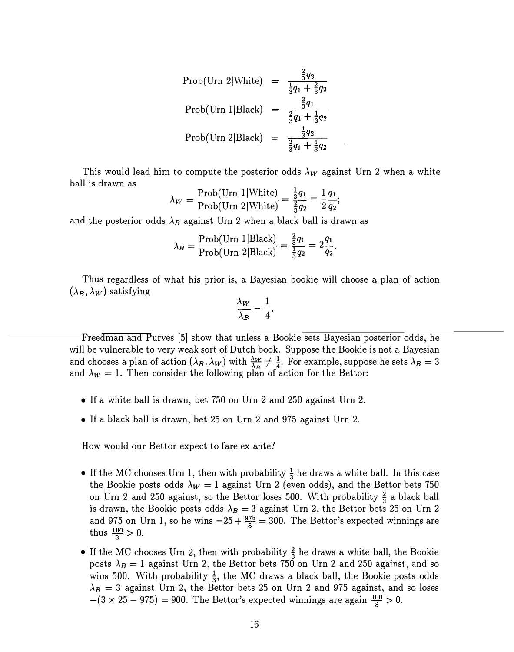Prob(Urn 2|White) = 
$$
\frac{\frac{2}{3}q_2}{\frac{1}{3}q_1 + \frac{2}{3}q_2}
$$

\nProb(Urn 1|Black) = 
$$
\frac{\frac{2}{3}q_1}{\frac{2}{3}q_1 + \frac{1}{3}q_2}
$$

\nProb(Urn 2|Black) = 
$$
\frac{\frac{1}{3}q_2}{\frac{2}{3}q_1 + \frac{1}{3}q_2}
$$

This would lead him to compute the posterior odds  $\lambda_W$  against Urn 2 when a white ball is drawn as

$$
\lambda_W = \frac{\text{Prob}(\text{Urn 1}|\text{White})}{\text{Prob}(\text{Urn 2}|\text{White})} = \frac{\frac{1}{3}q_1}{\frac{2}{3}q_2} = \frac{1}{2}\frac{q_1}{q_2};
$$

and the posterior odds  $\lambda_B$  against Urn 2 when a black ball is drawn as

$$
\lambda_B = \frac{\text{Prob}(\text{Urn 1}|\text{Black})}{\text{Prob}(\text{Urn 2}|\text{Black})} = \frac{\frac{2}{3}q_1}{\frac{1}{3}q_2} = 2\frac{q_1}{q_2}.
$$

Thus regardless of what his prior is, a Bayesian bookie will choose a plan of action  $(\lambda_B, \lambda_W)$  satisfying

$$
\frac{\lambda_W}{\lambda_B} = \frac{1}{4}.
$$

Freedman and Purves [5] show that unless a Bookie sets Bayesian posterior odds, he will be vulnerable to very weak sort of Dutch book. Suppose the Bookie is not a Bayesian and chooses a plan of action  $(\lambda_B, \lambda_W)$  with  $\frac{\lambda_W}{\lambda_B} \neq \frac{1}{4}$ . For example, suppose he sets  $\lambda_B = 3$ and  $\lambda_W = 1$ . Then consider the following plan of action for the Bettor:

- If a white ball is drawn, bet 750 on Urn 2 and 250 against Urn 2.
- If a black ball is drawn, bet 25 on Urn 2 and 975 against Urn 2.

How would our Bettor expect to fare ex ante?

- If the MC chooses Urn 1, then with probability  $\frac{1}{3}$  he draws a white ball. In this case the Bookie posts odds  $\lambda_W = 1$  against Urn 2 (even odds), and the Bettor bets 750 on Urn 2 and 250 against, so the Bettor loses 500. With probability  $\frac{2}{3}$  a black ball is drawn, the Bookie posts odds  $\lambda_B = 3$  against Urn 2, the Bettor bets 25 on Urn 2 and 975 on Urn 1, so he wins  $-25 + \frac{975}{3} = 300$ . The Bettor's expected winnings are thus  $\frac{100}{3} > 0$ .
- If the MC chooses Urn 2, then with probability  $\frac{2}{3}$  he draws a white ball, the Bookie posts  $\lambda_B = 1$  against Urn 2, the Bettor bets 750 on Urn 2 and 250 against, and so wins 500. With probability  $\frac{1}{3}$ , the MC draws a black ball, the Bookie posts odds  $\lambda_B = 3$  against Urn 2, the Bettor bets 25 on Urn 2 and 975 against, and so loses  $-(3 \times 25 - 975) = 900$ . The Bettor's expected winnings are again  $\frac{100}{3} > 0$ .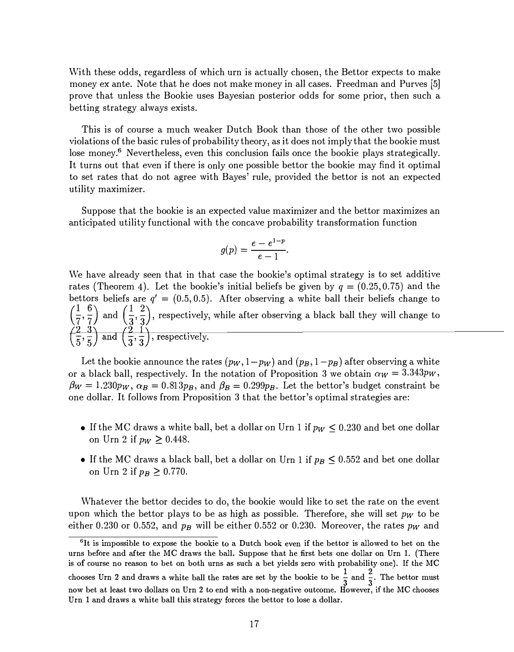With these odds, regardless of which urn is actually chosen, the Bettor expects to make money ex ante. Note that he does not make money in all cases. Freedman and Purves [5] prove that unless the Bookie uses Bayesian posterior odds for some prior, then such a betting strategy always exists.

This is of course a much weaker Dutch Book than those of the other two possible violations of the basic rules of probability theory, as it does not imply that the bookie must lose money.<sup>6</sup> Nevertheless, even this conclusion fails once the bookie plays strategically. It turns out that even if there is only one possible bettor the bookie may find it optimal to set rates that do not agree with Bayes' rule, provided the bettor is not an expected utility maximizer.

Suppose that the bookie is an expected value maximizer and the bettor maximizes an anticipated utility functional with the concave probability transformation function

$$
g(p)=\frac{e-e^{1-p}}{e-1}.
$$

We have already seen that in that case the bookie's optimal strategy is to set additive rates (Theorem 4). Let the bookie's initial beliefs be given by  $q = (0.25, 0.75)$  and the bettors beliefs are  $q' = (0.5, 0.5)$ . After observing a white ball their beliefs change to  $\left(\frac{1}{7},\frac{6}{7}\right)$  and  $\left(\frac{1}{3},\frac{2}{3}\right)$ , respectively, while after observing a black ball they will change to  $\left(\frac{2}{5}, \frac{3}{5}\right)$  and  $\left(\frac{2}{3}, \frac{1}{3}\right)$ , respectively.

Let the bookie announce the rates  $(p_W, 1-p_W)$  and  $(p_B, 1-p_B)$  after observing a white or a black ball, respectively. In the notation of Proposition 3 we obtain  $\alpha_W = 3.343 \gamma_W$ ,  $\beta_W = 1.230p_W$ ,  $\alpha_B = 0.813p_B$ , and  $\beta_B = 0.299p_B$ . Let the bettor's budget constraint be one dollar. It follows from Proposition 3 that the bettor's optimal strategies are:

- If the MC draws a white ball, bet a dollar on Urn 1 if  $p_W \leq 0.230$  and bet one dollar on Urn 2 if  $p_W \ge 0.448$ .
- If the MC draws a black ball, bet a dollar on Urn 1 if  $p_B \leq 0.552$  and bet one dollar on Urn 2 if  $p_B \geq 0.770$ .

Whatever the bettor decides to do, the bookie would like to set the rate on the event upon which the bettor plays to be as high as possible. Therefore, she will set  $p_W$  to be either 0.230 or 0.552, and  $p_B$  will be either 0.552 or 0.230. Moreover, the rates  $p_W$  and

 ${}^{6}$ It is impossible to expose the bookie to a Dutch book even if the bettor is allowed to bet on the urns before and after the MC draws the ball. Suppose that he first bets one dollar on Urn 1. (There is of course no reason to bet on both urns as such a bet yields zero with probability one). If the MC chooses Urn 2 and draws a white ball the rates are set by the bookie to be  $\frac{1}{3}$  and  $\frac{2}{3}$ . The bettor must now bet at least two dollars on Urn 2 to end with a non-negative outcome. However, if the MC chooses Urn 1 and draws a white ball this strategy forces the bettor to lose a dollar.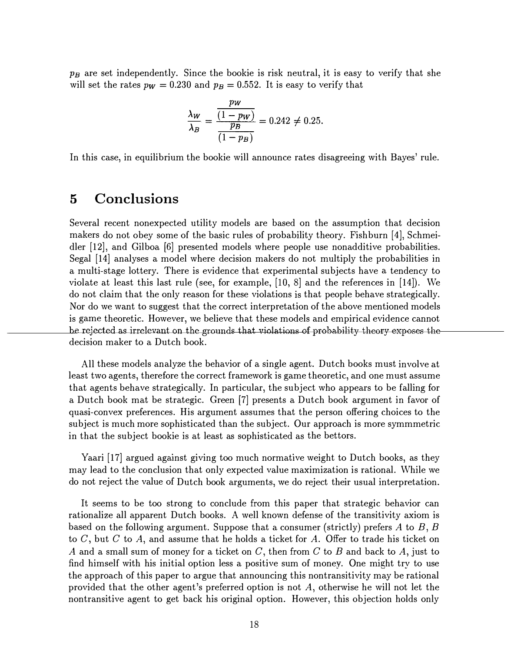$p_B$  are set independently. Since the bookie is risk neutral, it is easy to verify that she will set the rates  $p_w = 0.230$  and  $p_B = 0.552$ . It is easy to verify that

$$
\frac{\lambda_W}{\lambda_B} = \frac{\frac{pw}{(1 - pw)}}{\frac{PB}{(1 - p_B)}} = 0.242 \neq 0.25.
$$

In this case, in equilibrium the bookie will announce rates disagreeing with Bayes' rule.

### 5 Conclusions

Several recent nonexpected utility models are based on the assumption that decision makers do not obey some of the basic rules of probability theory. Fishburn [4], Schmeidler [12], and Gilboa [6] presented models where people use nonadditive probabilities. Segal [14] analyses a model where decision makers do not multiply the probabilities in a multi-stage lottery. There is evidence that experimental subjects have a tendency to violate at least this last rule (see, for example, [10, 8] and the references in [14]). We do not claim that the only reason for these violations is that people behave strategically. Nor do we want to suggest that the correct interpretation of the above mentioned models is game theoretic. However, we believe that these models and empirical evidence cannot he rejected as irrelevant on the grounds that violations of probability-theory exposes the decision maker to a Dutch book.

All these models analyze the behavior of a single agent. Dutch books must involve at least two agents, therefore the correct framework is game theoretic, and one must assume that agents behave strategically. In particular, the subject who appears to be falling for a Dutch book mat be strategic. Green [7] presents a Dutch book argument in favor of quasi-convex preferences. His argument assumes that the person offering choices to the subject is much more sophisticated than the subject. Our approach is more symmmetric in that the subject bookie is at least as sophisticated as the bettors.

Yaari [17] argued against giving too much normative weight to Dutch books, as they may lead to the conclusion that only expected value maximization is rational. While we do not reject the value of Dutch book arguments, we do reject their usual interpretation.

It seems to be too strong to conclude from this paper that strategic behavior can rationalize all apparent Dutch books. A well known defense of the transitivity axiom is based on the following argument. Suppose that a consumer (strictly) prefers A to  $B, B$ to  $C$ , but  $C$  to  $A$ , and assume that he holds a ticket for  $A$ . Offer to trade his ticket on A and a small sum of money for a ticket on C, then from C to B and back to A, just to find himself with his initial option less a positive sum of money. One might try to use the approach of this paper to argue that announcing this nontransitivity may be rational provided that the other agent's preferred option is not A, otherwise he will not let the nontransitive agent to get back his original option. However, this objection holds only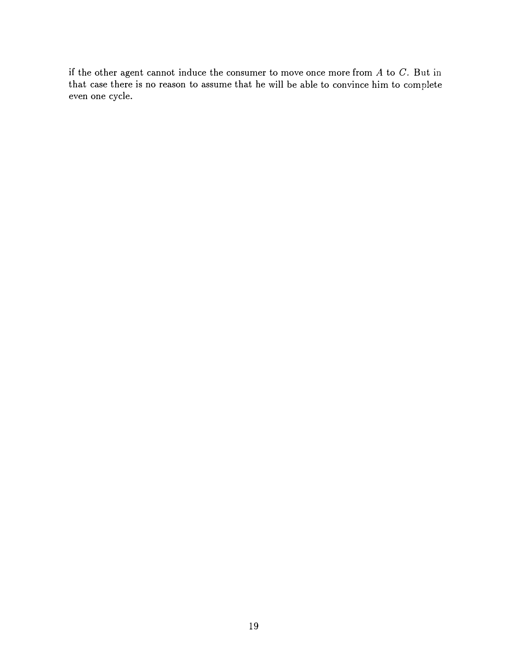if the other agent cannot induce the consumer to move once more from  $A$  to  $C$ . But in that case there is no reason to assume that he will be able to convince him to complete even one cycle.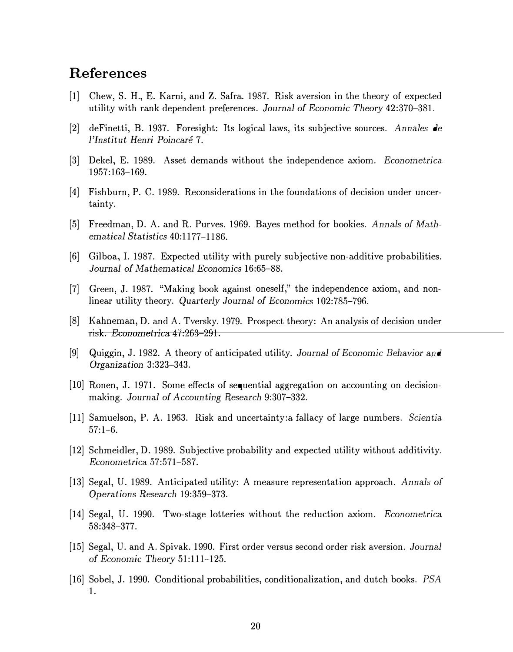# References

- [1] Chew, S. H., E. Kami, and Z. Safra. 1987. Risk aversion in the theory of expected utility with rank dependent preferences. Journal of Economic Theory 42:370-381.
- [2] deFinetti, B. 1937. Foresight: Its logical laws, its subjective sources. Annales de l'Institut Henri Poincaré 7.
- [3] Dekel, E. 1989. Asset demands without the independence axiom. Econometrica. 1957:163-169.
- [4] Fishburn, P. C. 1989. Reconsiderations in the foundations of decision under uncertainty.
- [5] Freedman, D. A. and R. Purves. 1969. Bayes method for bookies. Annals of Mathematical Statistics 40:1177-1186.
- [6] Gilboa., I. 1987. Expected utility with purely subjective non-additive probabilities. Journal of Mathematical Economics 16:65-88.
- [7] Green, J. 1987. "Making book against oneself," the independence axiom, and nonlinear utility theory. Quarterly Journal of Economics 102:785-796.
- [8] Kahneman, D. and A. Tversky. 1979. Prospect theory: An analysis of decision under risk. Econometrica  $47:263 - 291$ .
- [9] Quiggin, J. 1982. A theory of anticipated utility. Journal of Economic Behavior and Organization 3:323-343.
- [10] Ronen, J. 1971. Some effects of sequential aggregation on accounting on decisionmaking. Journal of Accounting Research 9:307-332.
- [11] Samuelson, P. A. 1963. Risk and uncertainty: a fallacy of large numbers. Scientia. 57:1-6.
- [12] Schmeidler, D. 1989. Subjective probability and expected utility without additivity. Econometrica. 57:571-587.
- [13] Segal, U. 1989. Anticipated utility: A measure representation approach. Annals of Operations Research 19:359-373.
- [14] Segal, U. 1990. Two-stage lotteries without the reduction axiom. Econometrica. 58:348-377.
- [15] Segal, U. and A. Spivak. 1990. First order versus second order risk aversion. Journal of Economic Theory 51:111-125.
- [16] Sobel, J. 1990. Conditional probabilities, conditionalization, and dutch books. PSA 1.